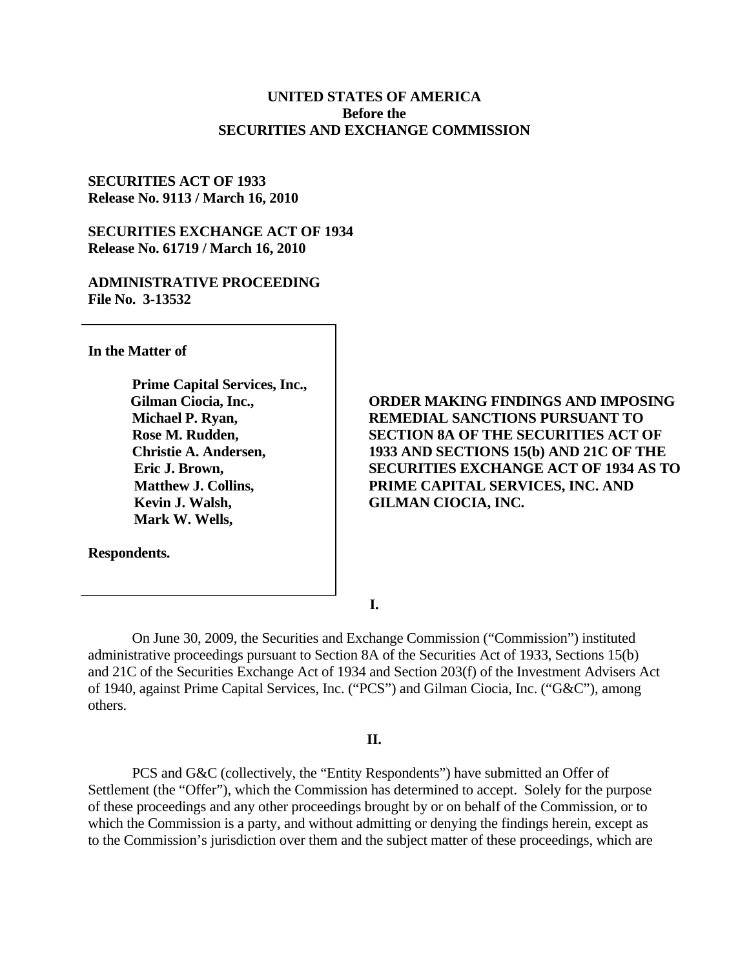# **UNITED STATES OF AMERICA Before the SECURITIES AND EXCHANGE COMMISSION**

## **SECURITIES ACT OF 1933 Release No. 9113 / March 16, 2010**

# **SECURITIES EXCHANGE ACT OF 1934 Release No. 61719 / March 16, 2010**

# **ADMINISTRATIVE PROCEEDING File No. 3-13532**

**In the Matter of** 

**Prime Capital Services, Inc., Gilman Ciocia, Inc., Michael P. Ryan, Rose M. Rudden, Christie A. Andersen, Eric J. Brown, Matthew J. Collins, Kevin J. Walsh, Mark W. Wells,** 

**Respondents.** 

**ORDER MAKING FINDINGS AND IMPOSING REMEDIAL SANCTIONS PURSUANT TO SECTION 8A OF THE SECURITIES ACT OF 1933 AND SECTIONS 15(b) AND 21C OF THE SECURITIES EXCHANGE ACT OF 1934 AS TO PRIME CAPITAL SERVICES, INC. AND GILMAN CIOCIA, INC.** 

**I.** 

On June 30, 2009, the Securities and Exchange Commission ("Commission") instituted administrative proceedings pursuant to Section 8A of the Securities Act of 1933, Sections 15(b) and 21C of the Securities Exchange Act of 1934 and Section 203(f) of the Investment Advisers Act of 1940, against Prime Capital Services, Inc. ("PCS") and Gilman Ciocia, Inc. ("G&C"), among others.

### **II.**

PCS and G&C (collectively, the "Entity Respondents") have submitted an Offer of Settlement (the "Offer"), which the Commission has determined to accept. Solely for the purpose of these proceedings and any other proceedings brought by or on behalf of the Commission, or to which the Commission is a party, and without admitting or denying the findings herein, except as to the Commission's jurisdiction over them and the subject matter of these proceedings, which are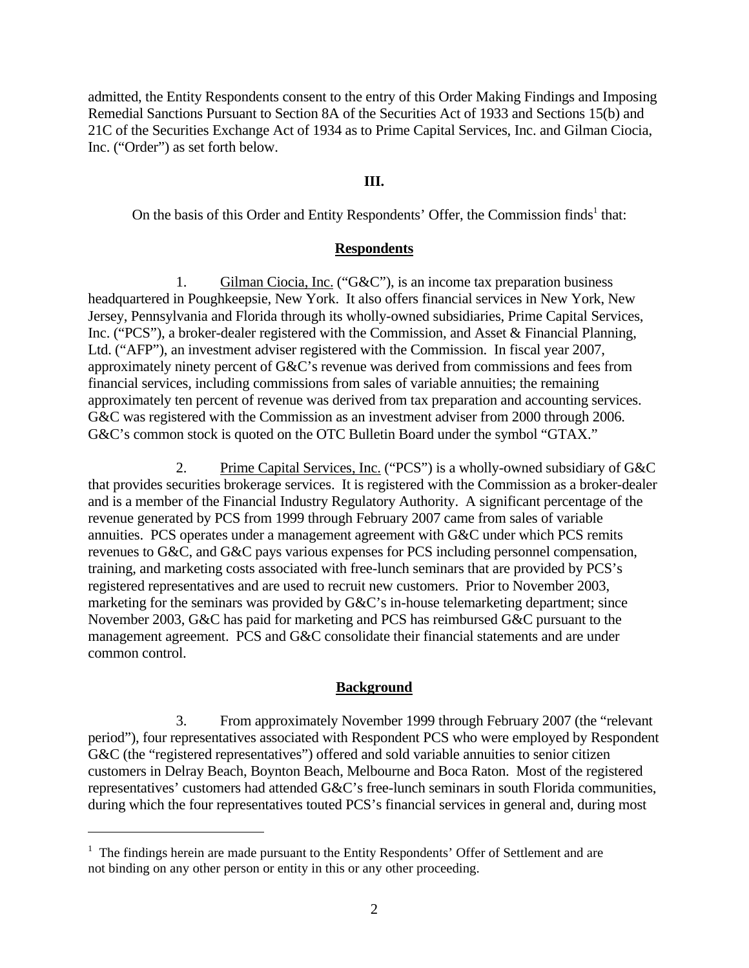admitted, the Entity Respondents consent to the entry of this Order Making Findings and Imposing Remedial Sanctions Pursuant to Section 8A of the Securities Act of 1933 and Sections 15(b) and 21C of the Securities Exchange Act of 1934 as to Prime Capital Services, Inc. and Gilman Ciocia, Inc. ("Order") as set forth below.

# **III.**

On the basis of this Order and Entity Respondents' Offer, the Commission finds<sup>1</sup> that:

## **Respondents**

1. Gilman Ciocia, Inc. ("G&C"), is an income tax preparation business headquartered in Poughkeepsie, New York. It also offers financial services in New York, New Jersey, Pennsylvania and Florida through its wholly-owned subsidiaries, Prime Capital Services, Inc. ("PCS"), a broker-dealer registered with the Commission, and Asset & Financial Planning, Ltd. ("AFP"), an investment adviser registered with the Commission. In fiscal year 2007, approximately ninety percent of G&C's revenue was derived from commissions and fees from financial services, including commissions from sales of variable annuities; the remaining approximately ten percent of revenue was derived from tax preparation and accounting services. G&C was registered with the Commission as an investment adviser from 2000 through 2006. G&C's common stock is quoted on the OTC Bulletin Board under the symbol "GTAX."

2. Prime Capital Services, Inc. ("PCS") is a wholly-owned subsidiary of G&C that provides securities brokerage services. It is registered with the Commission as a broker-dealer and is a member of the Financial Industry Regulatory Authority. A significant percentage of the revenue generated by PCS from 1999 through February 2007 came from sales of variable annuities. PCS operates under a management agreement with G&C under which PCS remits revenues to G&C, and G&C pays various expenses for PCS including personnel compensation, training, and marketing costs associated with free-lunch seminars that are provided by PCS's registered representatives and are used to recruit new customers. Prior to November 2003, marketing for the seminars was provided by G&C's in-house telemarketing department; since November 2003, G&C has paid for marketing and PCS has reimbursed G&C pursuant to the management agreement. PCS and G&C consolidate their financial statements and are under common control.

### **Background**

3. From approximately November 1999 through February 2007 (the "relevant period"), four representatives associated with Respondent PCS who were employed by Respondent G&C (the "registered representatives") offered and sold variable annuities to senior citizen customers in Delray Beach, Boynton Beach, Melbourne and Boca Raton. Most of the registered representatives' customers had attended G&C's free-lunch seminars in south Florida communities, during which the four representatives touted PCS's financial services in general and, during most

 $\overline{a}$ 

<sup>&</sup>lt;sup>1</sup> The findings herein are made pursuant to the Entity Respondents' Offer of Settlement and are not binding on any other person or entity in this or any other proceeding.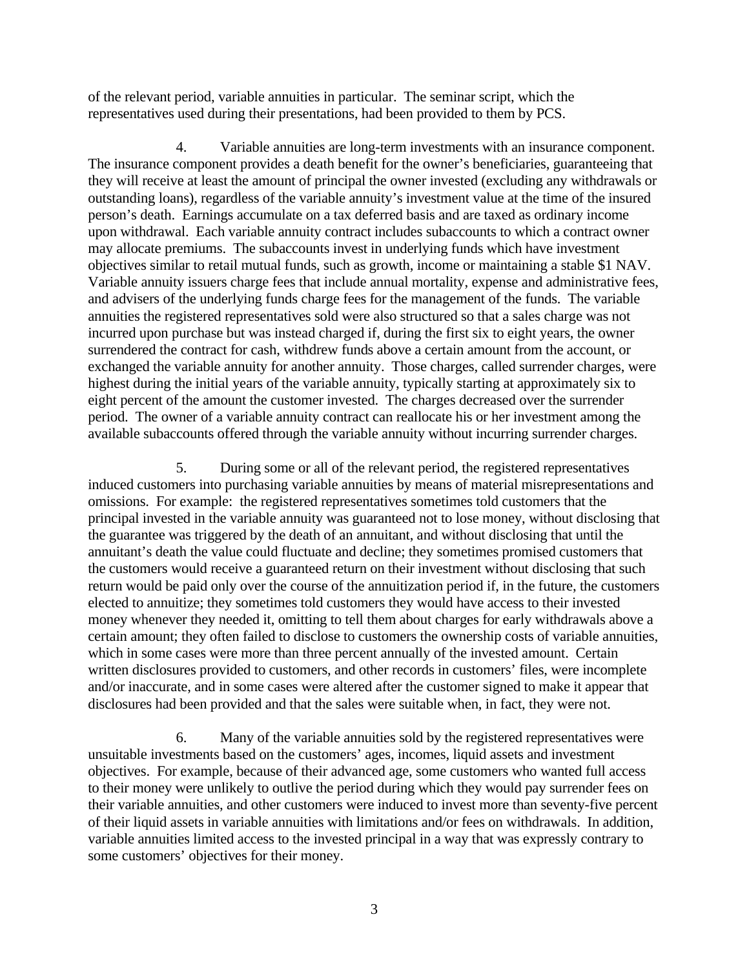of the relevant period, variable annuities in particular. The seminar script, which the representatives used during their presentations, had been provided to them by PCS.

4. Variable annuities are long-term investments with an insurance component. The insurance component provides a death benefit for the owner's beneficiaries, guaranteeing that they will receive at least the amount of principal the owner invested (excluding any withdrawals or outstanding loans), regardless of the variable annuity's investment value at the time of the insured person's death. Earnings accumulate on a tax deferred basis and are taxed as ordinary income upon withdrawal. Each variable annuity contract includes subaccounts to which a contract owner may allocate premiums. The subaccounts invest in underlying funds which have investment objectives similar to retail mutual funds, such as growth, income or maintaining a stable \$1 NAV. Variable annuity issuers charge fees that include annual mortality, expense and administrative fees, and advisers of the underlying funds charge fees for the management of the funds. The variable annuities the registered representatives sold were also structured so that a sales charge was not incurred upon purchase but was instead charged if, during the first six to eight years, the owner surrendered the contract for cash, withdrew funds above a certain amount from the account, or exchanged the variable annuity for another annuity. Those charges, called surrender charges, were highest during the initial years of the variable annuity, typically starting at approximately six to eight percent of the amount the customer invested. The charges decreased over the surrender period. The owner of a variable annuity contract can reallocate his or her investment among the available subaccounts offered through the variable annuity without incurring surrender charges.

5. During some or all of the relevant period, the registered representatives induced customers into purchasing variable annuities by means of material misrepresentations and omissions. For example: the registered representatives sometimes told customers that the principal invested in the variable annuity was guaranteed not to lose money, without disclosing that the guarantee was triggered by the death of an annuitant, and without disclosing that until the annuitant's death the value could fluctuate and decline; they sometimes promised customers that the customers would receive a guaranteed return on their investment without disclosing that such return would be paid only over the course of the annuitization period if, in the future, the customers elected to annuitize; they sometimes told customers they would have access to their invested money whenever they needed it, omitting to tell them about charges for early withdrawals above a certain amount; they often failed to disclose to customers the ownership costs of variable annuities, which in some cases were more than three percent annually of the invested amount. Certain written disclosures provided to customers, and other records in customers' files, were incomplete and/or inaccurate, and in some cases were altered after the customer signed to make it appear that disclosures had been provided and that the sales were suitable when, in fact, they were not.

6. Many of the variable annuities sold by the registered representatives were unsuitable investments based on the customers' ages, incomes, liquid assets and investment objectives. For example, because of their advanced age, some customers who wanted full access to their money were unlikely to outlive the period during which they would pay surrender fees on their variable annuities, and other customers were induced to invest more than seventy-five percent of their liquid assets in variable annuities with limitations and/or fees on withdrawals. In addition, variable annuities limited access to the invested principal in a way that was expressly contrary to some customers' objectives for their money.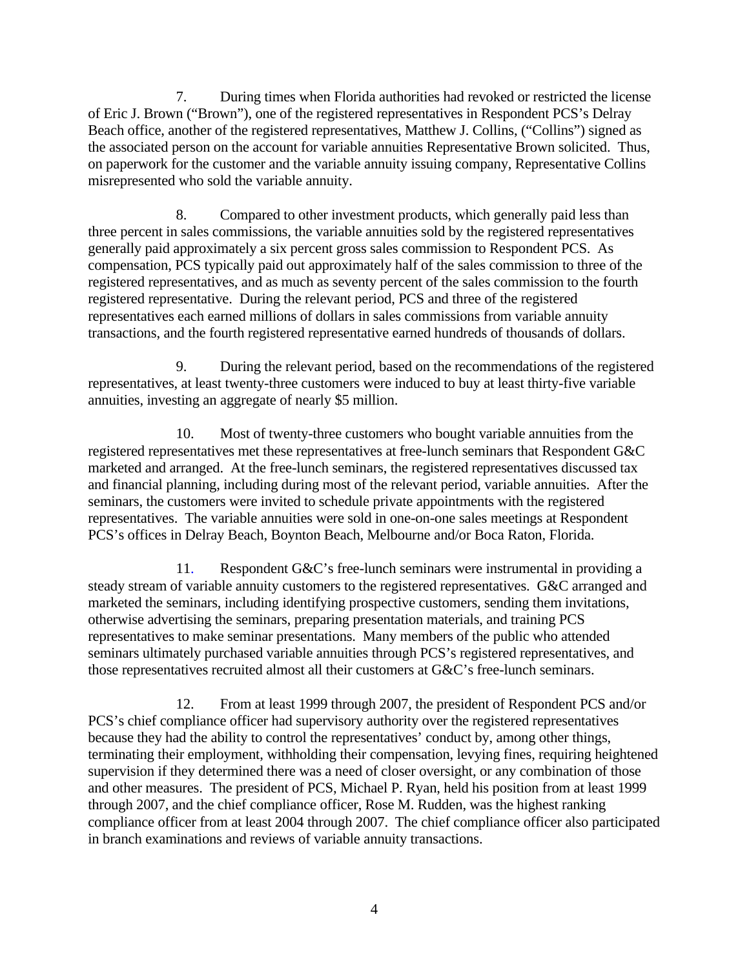7. During times when Florida authorities had revoked or restricted the license of Eric J. Brown ("Brown"), one of the registered representatives in Respondent PCS's Delray Beach office, another of the registered representatives, Matthew J. Collins, ("Collins") signed as the associated person on the account for variable annuities Representative Brown solicited. Thus, on paperwork for the customer and the variable annuity issuing company, Representative Collins misrepresented who sold the variable annuity.

8. Compared to other investment products, which generally paid less than three percent in sales commissions, the variable annuities sold by the registered representatives generally paid approximately a six percent gross sales commission to Respondent PCS. As compensation, PCS typically paid out approximately half of the sales commission to three of the registered representatives, and as much as seventy percent of the sales commission to the fourth registered representative. During the relevant period, PCS and three of the registered representatives each earned millions of dollars in sales commissions from variable annuity transactions, and the fourth registered representative earned hundreds of thousands of dollars.

9. During the relevant period, based on the recommendations of the registered representatives, at least twenty-three customers were induced to buy at least thirty-five variable annuities, investing an aggregate of nearly \$5 million.

10. Most of twenty-three customers who bought variable annuities from the registered representatives met these representatives at free-lunch seminars that Respondent G&C marketed and arranged. At the free-lunch seminars, the registered representatives discussed tax and financial planning, including during most of the relevant period, variable annuities. After the seminars, the customers were invited to schedule private appointments with the registered representatives. The variable annuities were sold in one-on-one sales meetings at Respondent PCS's offices in Delray Beach, Boynton Beach, Melbourne and/or Boca Raton, Florida.

 11. Respondent G&C's free-lunch seminars were instrumental in providing a steady stream of variable annuity customers to the registered representatives. G&C arranged and marketed the seminars, including identifying prospective customers, sending them invitations, otherwise advertising the seminars, preparing presentation materials, and training PCS representatives to make seminar presentations. Many members of the public who attended seminars ultimately purchased variable annuities through PCS's registered representatives, and those representatives recruited almost all their customers at G&C's free-lunch seminars.

12. From at least 1999 through 2007, the president of Respondent PCS and/or PCS's chief compliance officer had supervisory authority over the registered representatives because they had the ability to control the representatives' conduct by, among other things, terminating their employment, withholding their compensation, levying fines, requiring heightened supervision if they determined there was a need of closer oversight, or any combination of those and other measures. The president of PCS, Michael P. Ryan, held his position from at least 1999 through 2007, and the chief compliance officer, Rose M. Rudden, was the highest ranking compliance officer from at least 2004 through 2007. The chief compliance officer also participated in branch examinations and reviews of variable annuity transactions.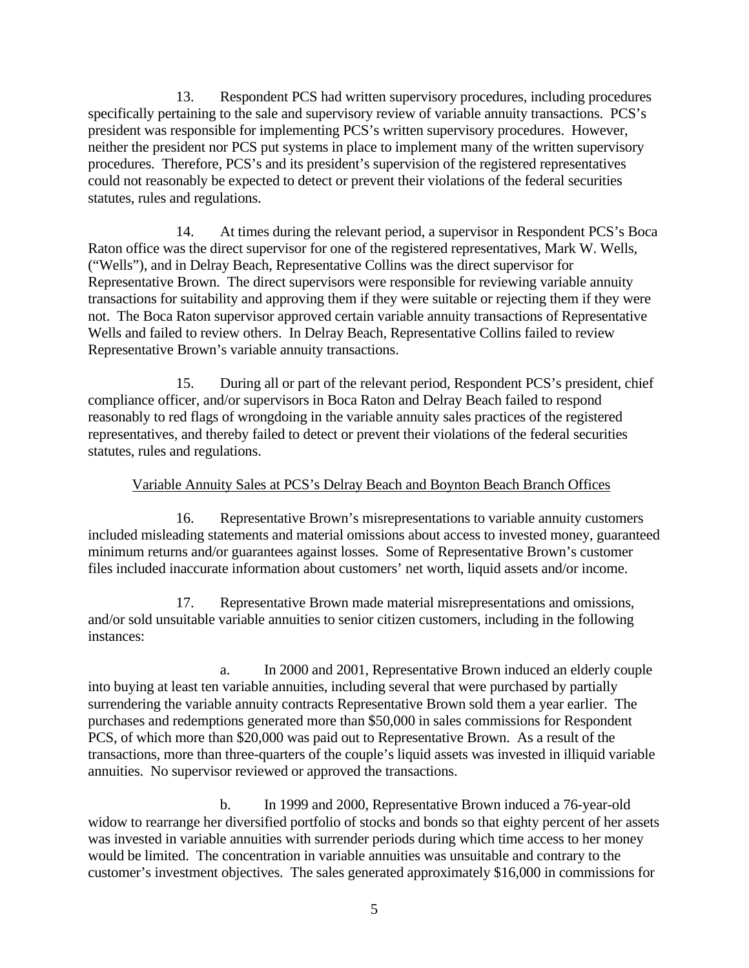13. Respondent PCS had written supervisory procedures, including procedures specifically pertaining to the sale and supervisory review of variable annuity transactions. PCS's president was responsible for implementing PCS's written supervisory procedures. However, neither the president nor PCS put systems in place to implement many of the written supervisory procedures. Therefore, PCS's and its president's supervision of the registered representatives could not reasonably be expected to detect or prevent their violations of the federal securities statutes, rules and regulations.

14. At times during the relevant period, a supervisor in Respondent PCS's Boca Raton office was the direct supervisor for one of the registered representatives, Mark W. Wells, ("Wells"), and in Delray Beach, Representative Collins was the direct supervisor for Representative Brown. The direct supervisors were responsible for reviewing variable annuity transactions for suitability and approving them if they were suitable or rejecting them if they were not. The Boca Raton supervisor approved certain variable annuity transactions of Representative Wells and failed to review others. In Delray Beach, Representative Collins failed to review Representative Brown's variable annuity transactions.

15. During all or part of the relevant period, Respondent PCS's president, chief compliance officer, and/or supervisors in Boca Raton and Delray Beach failed to respond reasonably to red flags of wrongdoing in the variable annuity sales practices of the registered representatives, and thereby failed to detect or prevent their violations of the federal securities statutes, rules and regulations.

# Variable Annuity Sales at PCS's Delray Beach and Boynton Beach Branch Offices

 16. Representative Brown's misrepresentations to variable annuity customers included misleading statements and material omissions about access to invested money, guaranteed minimum returns and/or guarantees against losses. Some of Representative Brown's customer files included inaccurate information about customers' net worth, liquid assets and/or income.

17. Representative Brown made material misrepresentations and omissions, and/or sold unsuitable variable annuities to senior citizen customers, including in the following instances:

a. In 2000 and 2001, Representative Brown induced an elderly couple into buying at least ten variable annuities, including several that were purchased by partially surrendering the variable annuity contracts Representative Brown sold them a year earlier. The purchases and redemptions generated more than \$50,000 in sales commissions for Respondent PCS, of which more than \$20,000 was paid out to Representative Brown. As a result of the transactions, more than three-quarters of the couple's liquid assets was invested in illiquid variable annuities. No supervisor reviewed or approved the transactions.

b. In 1999 and 2000, Representative Brown induced a 76-year-old widow to rearrange her diversified portfolio of stocks and bonds so that eighty percent of her assets was invested in variable annuities with surrender periods during which time access to her money would be limited. The concentration in variable annuities was unsuitable and contrary to the customer's investment objectives. The sales generated approximately \$16,000 in commissions for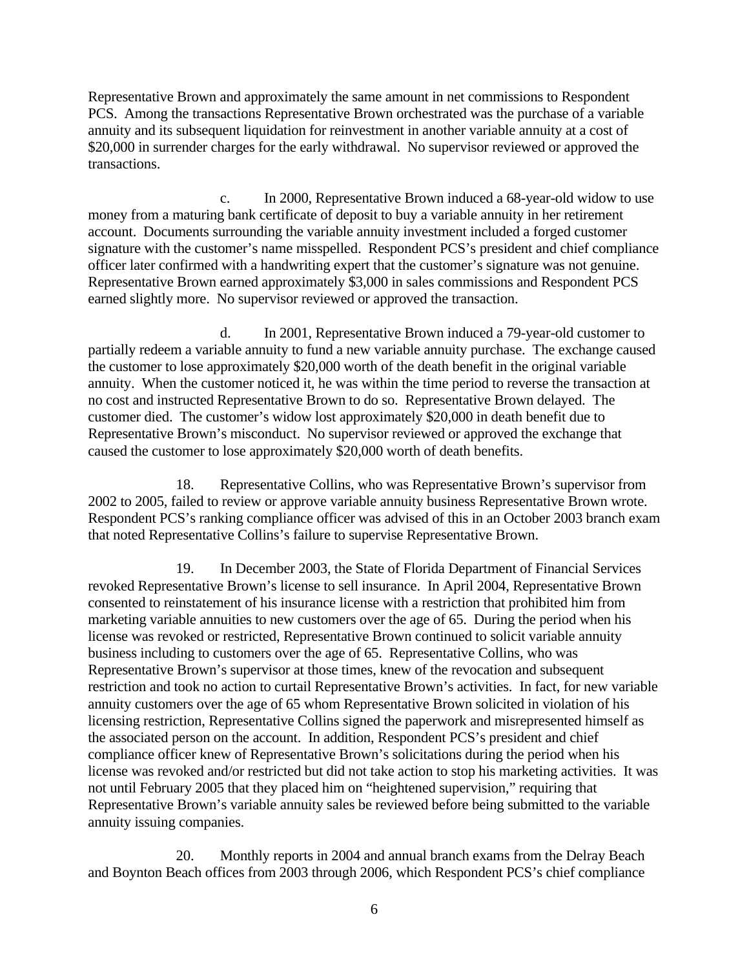Representative Brown and approximately the same amount in net commissions to Respondent PCS. Among the transactions Representative Brown orchestrated was the purchase of a variable annuity and its subsequent liquidation for reinvestment in another variable annuity at a cost of \$20,000 in surrender charges for the early withdrawal. No supervisor reviewed or approved the transactions.

c. In 2000, Representative Brown induced a 68-year-old widow to use money from a maturing bank certificate of deposit to buy a variable annuity in her retirement account. Documents surrounding the variable annuity investment included a forged customer signature with the customer's name misspelled. Respondent PCS's president and chief compliance officer later confirmed with a handwriting expert that the customer's signature was not genuine. Representative Brown earned approximately \$3,000 in sales commissions and Respondent PCS earned slightly more. No supervisor reviewed or approved the transaction.

d. In 2001, Representative Brown induced a 79-year-old customer to partially redeem a variable annuity to fund a new variable annuity purchase. The exchange caused the customer to lose approximately \$20,000 worth of the death benefit in the original variable annuity. When the customer noticed it, he was within the time period to reverse the transaction at no cost and instructed Representative Brown to do so. Representative Brown delayed. The customer died. The customer's widow lost approximately \$20,000 in death benefit due to Representative Brown's misconduct. No supervisor reviewed or approved the exchange that caused the customer to lose approximately \$20,000 worth of death benefits.

18. Representative Collins, who was Representative Brown's supervisor from 2002 to 2005, failed to review or approve variable annuity business Representative Brown wrote. Respondent PCS's ranking compliance officer was advised of this in an October 2003 branch exam that noted Representative Collins's failure to supervise Representative Brown.

19. In December 2003, the State of Florida Department of Financial Services revoked Representative Brown's license to sell insurance. In April 2004, Representative Brown consented to reinstatement of his insurance license with a restriction that prohibited him from marketing variable annuities to new customers over the age of 65. During the period when his license was revoked or restricted, Representative Brown continued to solicit variable annuity business including to customers over the age of 65. Representative Collins, who was Representative Brown's supervisor at those times, knew of the revocation and subsequent restriction and took no action to curtail Representative Brown's activities. In fact, for new variable annuity customers over the age of 65 whom Representative Brown solicited in violation of his licensing restriction, Representative Collins signed the paperwork and misrepresented himself as the associated person on the account. In addition, Respondent PCS's president and chief compliance officer knew of Representative Brown's solicitations during the period when his license was revoked and/or restricted but did not take action to stop his marketing activities. It was not until February 2005 that they placed him on "heightened supervision," requiring that Representative Brown's variable annuity sales be reviewed before being submitted to the variable annuity issuing companies.

20. Monthly reports in 2004 and annual branch exams from the Delray Beach and Boynton Beach offices from 2003 through 2006, which Respondent PCS's chief compliance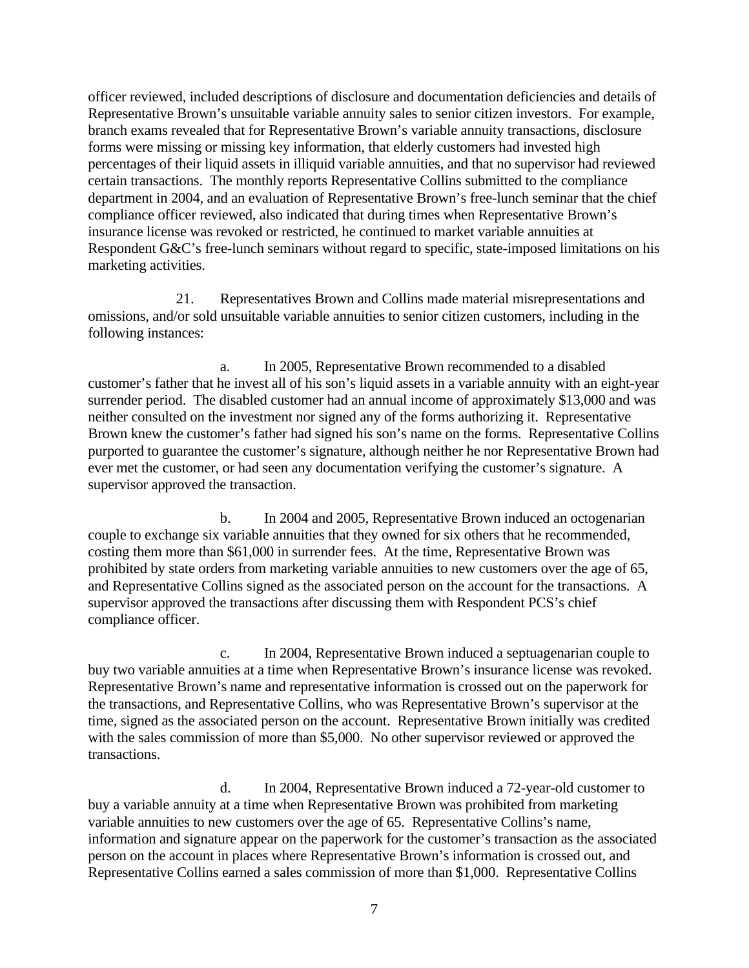officer reviewed, included descriptions of disclosure and documentation deficiencies and details of Representative Brown's unsuitable variable annuity sales to senior citizen investors. For example, branch exams revealed that for Representative Brown's variable annuity transactions, disclosure forms were missing or missing key information, that elderly customers had invested high percentages of their liquid assets in illiquid variable annuities, and that no supervisor had reviewed certain transactions. The monthly reports Representative Collins submitted to the compliance department in 2004, and an evaluation of Representative Brown's free-lunch seminar that the chief compliance officer reviewed, also indicated that during times when Representative Brown's insurance license was revoked or restricted, he continued to market variable annuities at Respondent G&C's free-lunch seminars without regard to specific, state-imposed limitations on his marketing activities.

21. Representatives Brown and Collins made material misrepresentations and omissions, and/or sold unsuitable variable annuities to senior citizen customers, including in the following instances:

a. In 2005, Representative Brown recommended to a disabled customer's father that he invest all of his son's liquid assets in a variable annuity with an eight-year surrender period. The disabled customer had an annual income of approximately \$13,000 and was neither consulted on the investment nor signed any of the forms authorizing it. Representative Brown knew the customer's father had signed his son's name on the forms. Representative Collins purported to guarantee the customer's signature, although neither he nor Representative Brown had ever met the customer, or had seen any documentation verifying the customer's signature. A supervisor approved the transaction.

b. In 2004 and 2005, Representative Brown induced an octogenarian couple to exchange six variable annuities that they owned for six others that he recommended, costing them more than \$61,000 in surrender fees. At the time, Representative Brown was prohibited by state orders from marketing variable annuities to new customers over the age of 65, and Representative Collins signed as the associated person on the account for the transactions. A supervisor approved the transactions after discussing them with Respondent PCS's chief compliance officer.

c. In 2004, Representative Brown induced a septuagenarian couple to buy two variable annuities at a time when Representative Brown's insurance license was revoked. Representative Brown's name and representative information is crossed out on the paperwork for the transactions, and Representative Collins, who was Representative Brown's supervisor at the time, signed as the associated person on the account. Representative Brown initially was credited with the sales commission of more than \$5,000. No other supervisor reviewed or approved the transactions.

d. In 2004, Representative Brown induced a 72-year-old customer to buy a variable annuity at a time when Representative Brown was prohibited from marketing variable annuities to new customers over the age of 65. Representative Collins's name, information and signature appear on the paperwork for the customer's transaction as the associated person on the account in places where Representative Brown's information is crossed out, and Representative Collins earned a sales commission of more than \$1,000. Representative Collins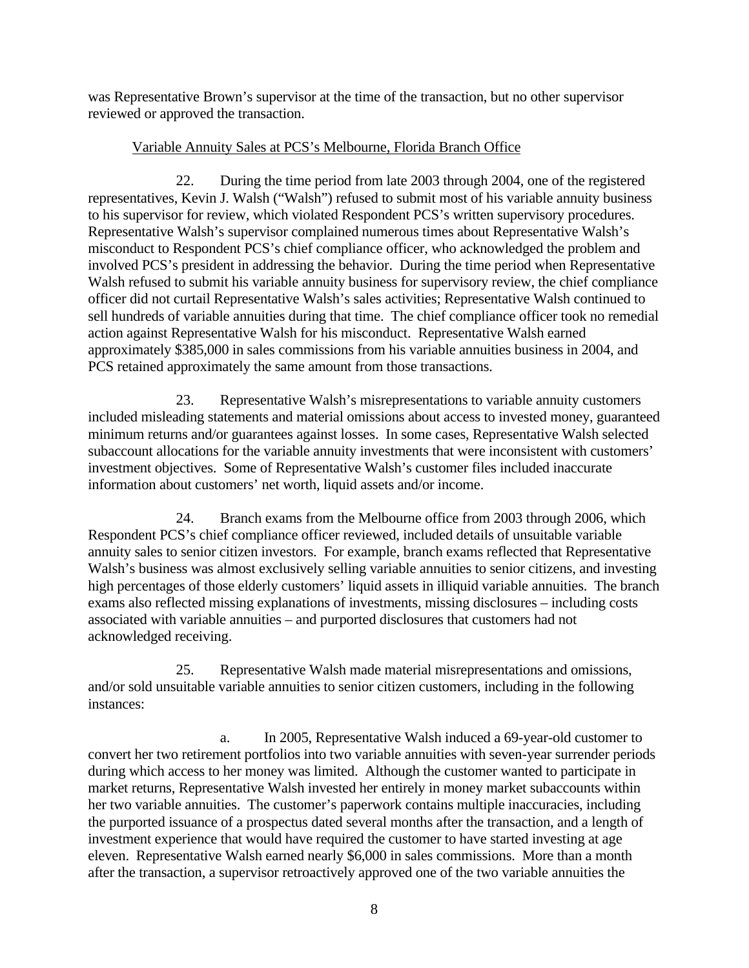was Representative Brown's supervisor at the time of the transaction, but no other supervisor reviewed or approved the transaction.

# Variable Annuity Sales at PCS's Melbourne, Florida Branch Office

22. During the time period from late 2003 through 2004, one of the registered representatives, Kevin J. Walsh ("Walsh") refused to submit most of his variable annuity business to his supervisor for review, which violated Respondent PCS's written supervisory procedures. Representative Walsh's supervisor complained numerous times about Representative Walsh's misconduct to Respondent PCS's chief compliance officer, who acknowledged the problem and involved PCS's president in addressing the behavior. During the time period when Representative Walsh refused to submit his variable annuity business for supervisory review, the chief compliance officer did not curtail Representative Walsh's sales activities; Representative Walsh continued to sell hundreds of variable annuities during that time. The chief compliance officer took no remedial action against Representative Walsh for his misconduct. Representative Walsh earned approximately \$385,000 in sales commissions from his variable annuities business in 2004, and PCS retained approximately the same amount from those transactions.

23. Representative Walsh's misrepresentations to variable annuity customers included misleading statements and material omissions about access to invested money, guaranteed minimum returns and/or guarantees against losses. In some cases, Representative Walsh selected subaccount allocations for the variable annuity investments that were inconsistent with customers' investment objectives. Some of Representative Walsh's customer files included inaccurate information about customers' net worth, liquid assets and/or income.

24. Branch exams from the Melbourne office from 2003 through 2006, which Respondent PCS's chief compliance officer reviewed, included details of unsuitable variable annuity sales to senior citizen investors. For example, branch exams reflected that Representative Walsh's business was almost exclusively selling variable annuities to senior citizens, and investing high percentages of those elderly customers' liquid assets in illiquid variable annuities. The branch exams also reflected missing explanations of investments, missing disclosures – including costs associated with variable annuities – and purported disclosures that customers had not acknowledged receiving.

25. Representative Walsh made material misrepresentations and omissions, and/or sold unsuitable variable annuities to senior citizen customers, including in the following instances:

a. In 2005, Representative Walsh induced a 69-year-old customer to convert her two retirement portfolios into two variable annuities with seven-year surrender periods during which access to her money was limited. Although the customer wanted to participate in market returns, Representative Walsh invested her entirely in money market subaccounts within her two variable annuities. The customer's paperwork contains multiple inaccuracies, including the purported issuance of a prospectus dated several months after the transaction, and a length of investment experience that would have required the customer to have started investing at age eleven. Representative Walsh earned nearly \$6,000 in sales commissions. More than a month after the transaction, a supervisor retroactively approved one of the two variable annuities the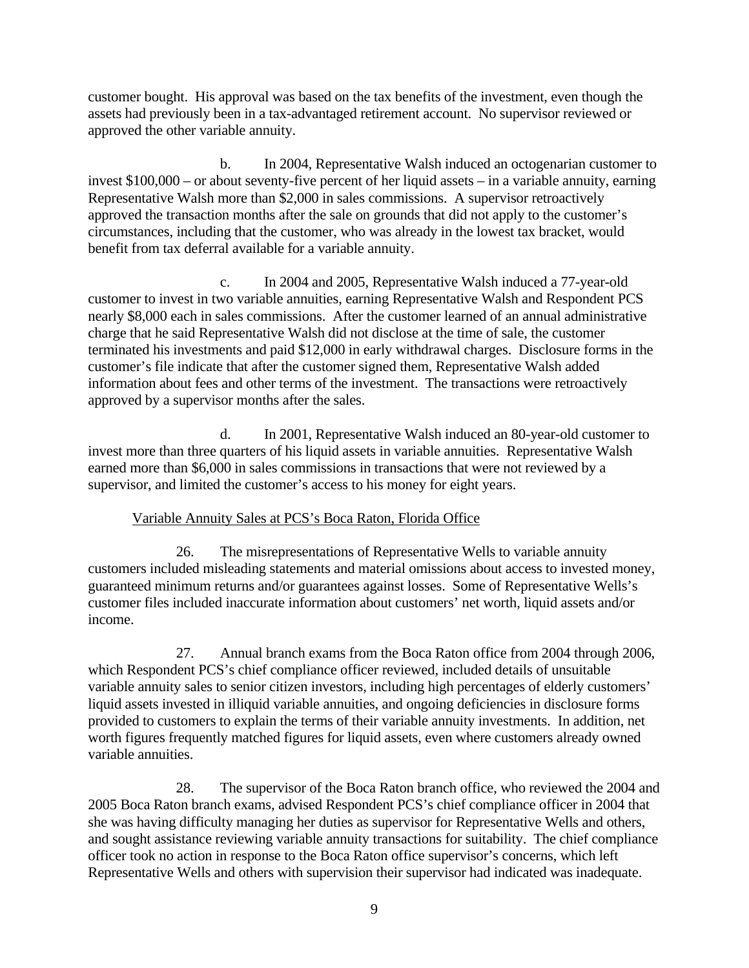customer bought. His approval was based on the tax benefits of the investment, even though the assets had previously been in a tax-advantaged retirement account. No supervisor reviewed or approved the other variable annuity.

b. In 2004, Representative Walsh induced an octogenarian customer to invest \$100,000 – or about seventy-five percent of her liquid assets – in a variable annuity, earning Representative Walsh more than \$2,000 in sales commissions. A supervisor retroactively approved the transaction months after the sale on grounds that did not apply to the customer's circumstances, including that the customer, who was already in the lowest tax bracket, would benefit from tax deferral available for a variable annuity.

c. In 2004 and 2005, Representative Walsh induced a 77-year-old customer to invest in two variable annuities, earning Representative Walsh and Respondent PCS nearly \$8,000 each in sales commissions. After the customer learned of an annual administrative charge that he said Representative Walsh did not disclose at the time of sale, the customer terminated his investments and paid \$12,000 in early withdrawal charges. Disclosure forms in the customer's file indicate that after the customer signed them, Representative Walsh added information about fees and other terms of the investment. The transactions were retroactively approved by a supervisor months after the sales.

supervisor, and limited the customer's access to his money for eight years.<br>Variable Annuity Sales at PCS's Boca Raton, Florida Office d. In 2001, Representative Walsh induced an 80-year-old customer to invest more than three quarters of his liquid assets in variable annuities. Representative Walsh earned more than \$6,000 in sales commissions in transactions that were not reviewed by a

26. The misrepresentations of Representative Wells to variable annuity customers included misleading statements and material omissions about access to invested money, guaranteed minimum returns and/or guarantees against losses. Some of Representative Wells's customer files included inaccurate information about customers' net worth, liquid assets and/or income.

27. Annual branch exams from the Boca Raton office from 2004 through 2006, which Respondent PCS's chief compliance officer reviewed, included details of unsuitable variable annuity sales to senior citizen investors, including high percentages of elderly customers' liquid assets invested in illiquid variable annuities, and ongoing deficiencies in disclosure forms provided to customers to explain the terms of their variable annuity investments. In addition, net worth figures frequently matched figures for liquid assets, even where customers already owned variable annuities.

28. The supervisor of the Boca Raton branch office, who reviewed the 2004 and 2005 Boca Raton branch exams, advised Respondent PCS's chief compliance officer in 2004 that she was having difficulty managing her duties as supervisor for Representative Wells and others, and sought assistance reviewing variable annuity transactions for suitability. The chief compliance officer took no action in response to the Boca Raton office supervisor's concerns, which left Representative Wells and others with supervision their supervisor had indicated was inadequate.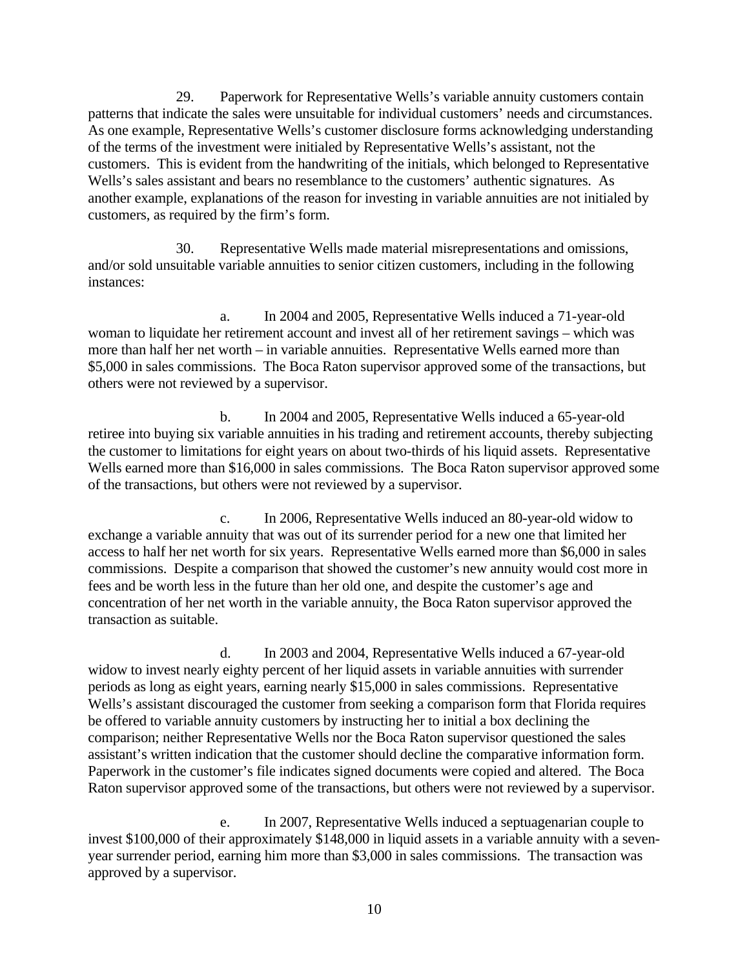29. Paperwork for Representative Wells's variable annuity customers contain patterns that indicate the sales were unsuitable for individual customers' needs and circumstances. As one example, Representative Wells's customer disclosure forms acknowledging understanding of the terms of the investment were initialed by Representative Wells's assistant, not the customers. This is evident from the handwriting of the initials, which belonged to Representative Wells's sales assistant and bears no resemblance to the customers' authentic signatures. As another example, explanations of the reason for investing in variable annuities are not initialed by customers, as required by the firm's form.

30. Representative Wells made material misrepresentations and omissions, and/or sold unsuitable variable annuities to senior citizen customers, including in the following instances:

a. In 2004 and 2005, Representative Wells induced a 71-year-old woman to liquidate her retirement account and invest all of her retirement savings – which was more than half her net worth – in variable annuities. Representative Wells earned more than \$5,000 in sales commissions. The Boca Raton supervisor approved some of the transactions, but others were not reviewed by a supervisor.

b. In 2004 and 2005, Representative Wells induced a 65-year-old retiree into buying six variable annuities in his trading and retirement accounts, thereby subjecting the customer to limitations for eight years on about two-thirds of his liquid assets. Representative Wells earned more than \$16,000 in sales commissions. The Boca Raton supervisor approved some of the transactions, but others were not reviewed by a supervisor.

c. In 2006, Representative Wells induced an 80-year-old widow to exchange a variable annuity that was out of its surrender period for a new one that limited her access to half her net worth for six years. Representative Wells earned more than \$6,000 in sales commissions. Despite a comparison that showed the customer's new annuity would cost more in fees and be worth less in the future than her old one, and despite the customer's age and concentration of her net worth in the variable annuity, the Boca Raton supervisor approved the transaction as suitable.

d. In 2003 and 2004, Representative Wells induced a 67-year-old widow to invest nearly eighty percent of her liquid assets in variable annuities with surrender periods as long as eight years, earning nearly \$15,000 in sales commissions. Representative Wells's assistant discouraged the customer from seeking a comparison form that Florida requires be offered to variable annuity customers by instructing her to initial a box declining the comparison; neither Representative Wells nor the Boca Raton supervisor questioned the sales assistant's written indication that the customer should decline the comparative information form. Paperwork in the customer's file indicates signed documents were copied and altered. The Boca Raton supervisor approved some of the transactions, but others were not reviewed by a supervisor.

e. In 2007, Representative Wells induced a septuagenarian couple to invest \$100,000 of their approximately \$148,000 in liquid assets in a variable annuity with a sevenyear surrender period, earning him more than \$3,000 in sales commissions. The transaction was approved by a supervisor.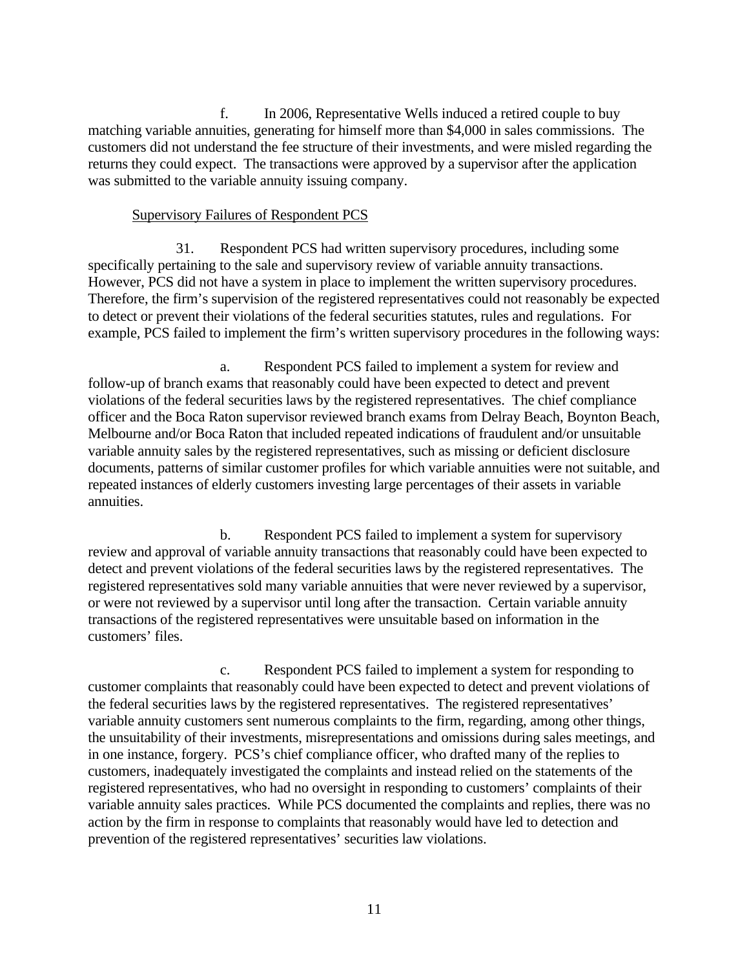f. In 2006, Representative Wells induced a retired couple to buy matching variable annuities, generating for himself more than \$4,000 in sales commissions. The customers did not understand the fee structure of their investments, and were misled regarding the returns they could expect. The transactions were approved by a supervisor after the application was submitted to the variable annuity issuing company.

# Supervisory Failures of Respondent PCS

31. Respondent PCS had written supervisory procedures, including some specifically pertaining to the sale and supervisory review of variable annuity transactions. However, PCS did not have a system in place to implement the written supervisory procedures. Therefore, the firm's supervision of the registered representatives could not reasonably be expected to detect or prevent their violations of the federal securities statutes, rules and regulations. For example, PCS failed to implement the firm's written supervisory procedures in the following ways:

 a. Respondent PCS failed to implement a system for review and follow-up of branch exams that reasonably could have been expected to detect and prevent violations of the federal securities laws by the registered representatives. The chief compliance officer and the Boca Raton supervisor reviewed branch exams from Delray Beach, Boynton Beach, Melbourne and/or Boca Raton that included repeated indications of fraudulent and/or unsuitable variable annuity sales by the registered representatives, such as missing or deficient disclosure documents, patterns of similar customer profiles for which variable annuities were not suitable, and repeated instances of elderly customers investing large percentages of their assets in variable annuities.

b. Respondent PCS failed to implement a system for supervisory review and approval of variable annuity transactions that reasonably could have been expected to detect and prevent violations of the federal securities laws by the registered representatives. The registered representatives sold many variable annuities that were never reviewed by a supervisor, or were not reviewed by a supervisor until long after the transaction. Certain variable annuity transactions of the registered representatives were unsuitable based on information in the customers' files.

c. Respondent PCS failed to implement a system for responding to customer complaints that reasonably could have been expected to detect and prevent violations of the federal securities laws by the registered representatives. The registered representatives' variable annuity customers sent numerous complaints to the firm, regarding, among other things, the unsuitability of their investments, misrepresentations and omissions during sales meetings, and in one instance, forgery. PCS's chief compliance officer, who drafted many of the replies to customers, inadequately investigated the complaints and instead relied on the statements of the registered representatives, who had no oversight in responding to customers' complaints of their variable annuity sales practices. While PCS documented the complaints and replies, there was no action by the firm in response to complaints that reasonably would have led to detection and prevention of the registered representatives' securities law violations.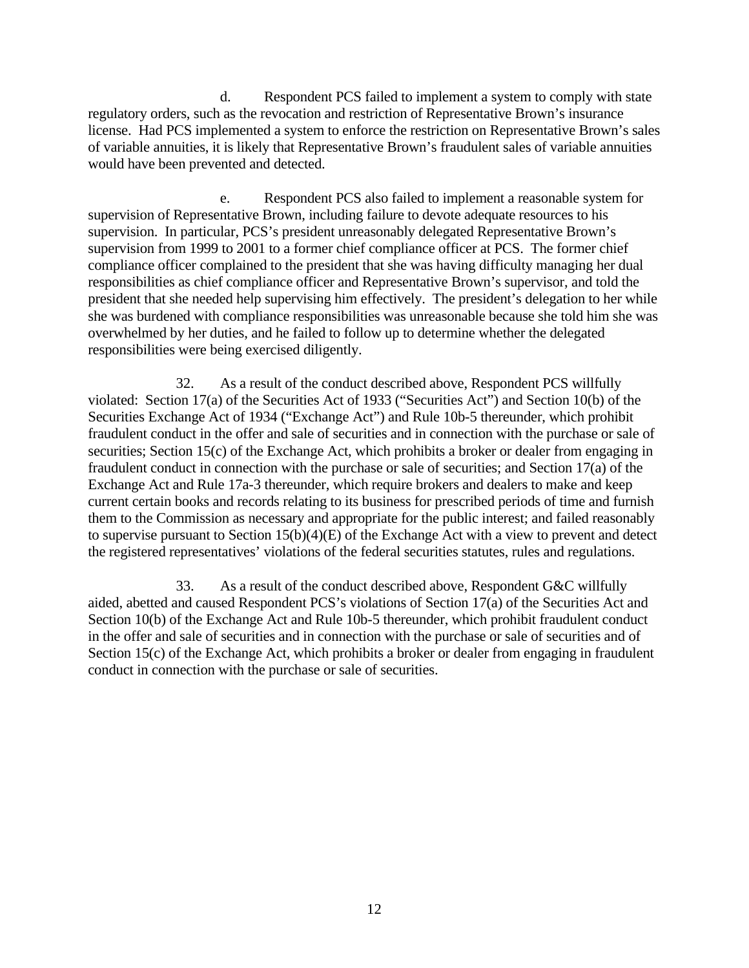d. Respondent PCS failed to implement a system to comply with state regulatory orders, such as the revocation and restriction of Representative Brown's insurance license. Had PCS implemented a system to enforce the restriction on Representative Brown's sales of variable annuities, it is likely that Representative Brown's fraudulent sales of variable annuities would have been prevented and detected.

e. Respondent PCS also failed to implement a reasonable system for supervision of Representative Brown, including failure to devote adequate resources to his supervision. In particular, PCS's president unreasonably delegated Representative Brown's supervision from 1999 to 2001 to a former chief compliance officer at PCS. The former chief compliance officer complained to the president that she was having difficulty managing her dual responsibilities as chief compliance officer and Representative Brown's supervisor, and told the president that she needed help supervising him effectively. The president's delegation to her while she was burdened with compliance responsibilities was unreasonable because she told him she was overwhelmed by her duties, and he failed to follow up to determine whether the delegated responsibilities were being exercised diligently.

32. As a result of the conduct described above, Respondent PCS willfully violated: Section 17(a) of the Securities Act of 1933 ("Securities Act") and Section 10(b) of the Securities Exchange Act of 1934 ("Exchange Act") and Rule 10b-5 thereunder, which prohibit fraudulent conduct in the offer and sale of securities and in connection with the purchase or sale of securities; Section 15(c) of the Exchange Act, which prohibits a broker or dealer from engaging in fraudulent conduct in connection with the purchase or sale of securities; and Section 17(a) of the Exchange Act and Rule 17a-3 thereunder, which require brokers and dealers to make and keep current certain books and records relating to its business for prescribed periods of time and furnish them to the Commission as necessary and appropriate for the public interest; and failed reasonably to supervise pursuant to Section 15(b)(4)(E) of the Exchange Act with a view to prevent and detect the registered representatives' violations of the federal securities statutes, rules and regulations.

33. As a result of the conduct described above, Respondent G&C willfully aided, abetted and caused Respondent PCS's violations of Section 17(a) of the Securities Act and Section 10(b) of the Exchange Act and Rule 10b-5 thereunder, which prohibit fraudulent conduct in the offer and sale of securities and in connection with the purchase or sale of securities and of Section 15(c) of the Exchange Act, which prohibits a broker or dealer from engaging in fraudulent conduct in connection with the purchase or sale of securities.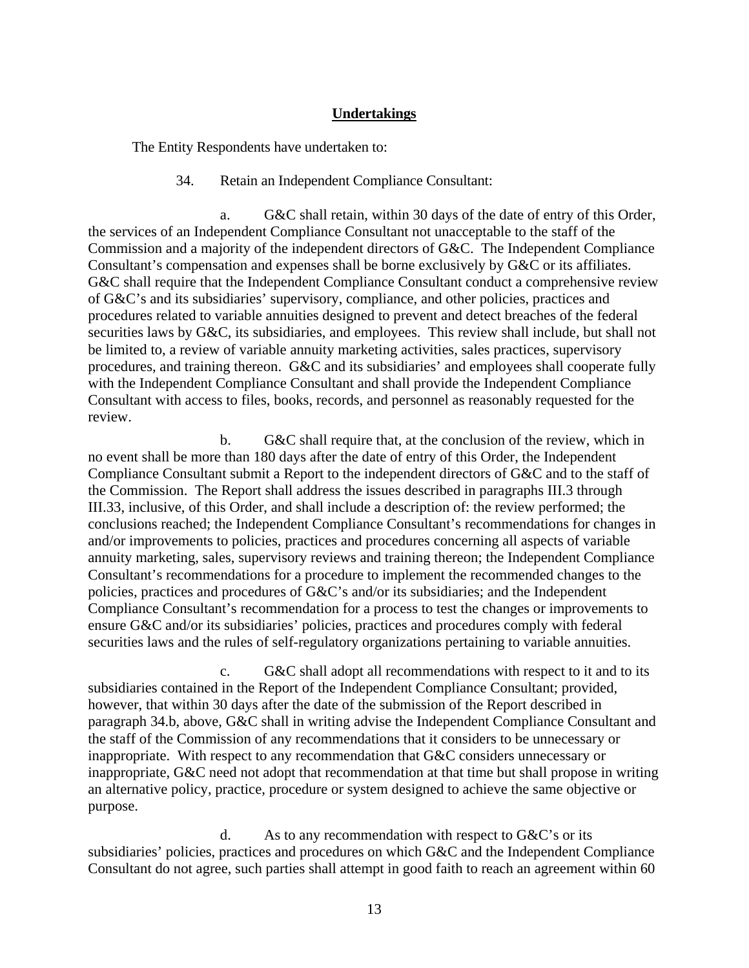# **Undertakings**

The Entity Respondents have undertaken to:

## 34. Retain an Independent Compliance Consultant:

a. G&C shall retain, within 30 days of the date of entry of this Order, the services of an Independent Compliance Consultant not unacceptable to the staff of the Commission and a majority of the independent directors of G&C. The Independent Compliance Consultant's compensation and expenses shall be borne exclusively by G&C or its affiliates. G&C shall require that the Independent Compliance Consultant conduct a comprehensive review of G&C's and its subsidiaries' supervisory, compliance, and other policies, practices and procedures related to variable annuities designed to prevent and detect breaches of the federal securities laws by G&C, its subsidiaries, and employees. This review shall include, but shall not be limited to, a review of variable annuity marketing activities, sales practices, supervisory procedures, and training thereon. G&C and its subsidiaries' and employees shall cooperate fully with the Independent Compliance Consultant and shall provide the Independent Compliance Consultant with access to files, books, records, and personnel as reasonably requested for the review.

b. G&C shall require that, at the conclusion of the review, which in no event shall be more than 180 days after the date of entry of this Order, the Independent Compliance Consultant submit a Report to the independent directors of G&C and to the staff of the Commission. The Report shall address the issues described in paragraphs III.3 through III.33, inclusive, of this Order, and shall include a description of: the review performed; the conclusions reached; the Independent Compliance Consultant's recommendations for changes in and/or improvements to policies, practices and procedures concerning all aspects of variable annuity marketing, sales, supervisory reviews and training thereon; the Independent Compliance Consultant's recommendations for a procedure to implement the recommended changes to the policies, practices and procedures of G&C's and/or its subsidiaries; and the Independent Compliance Consultant's recommendation for a process to test the changes or improvements to ensure G&C and/or its subsidiaries' policies, practices and procedures comply with federal securities laws and the rules of self-regulatory organizations pertaining to variable annuities.

c. G&C shall adopt all recommendations with respect to it and to its subsidiaries contained in the Report of the Independent Compliance Consultant; provided, however, that within 30 days after the date of the submission of the Report described in paragraph 34.b, above, G&C shall in writing advise the Independent Compliance Consultant and the staff of the Commission of any recommendations that it considers to be unnecessary or inappropriate. With respect to any recommendation that G&C considers unnecessary or inappropriate, G&C need not adopt that recommendation at that time but shall propose in writing an alternative policy, practice, procedure or system designed to achieve the same objective or purpose.

d. As to any recommendation with respect to G&C's or its subsidiaries' policies, practices and procedures on which G&C and the Independent Compliance Consultant do not agree, such parties shall attempt in good faith to reach an agreement within 60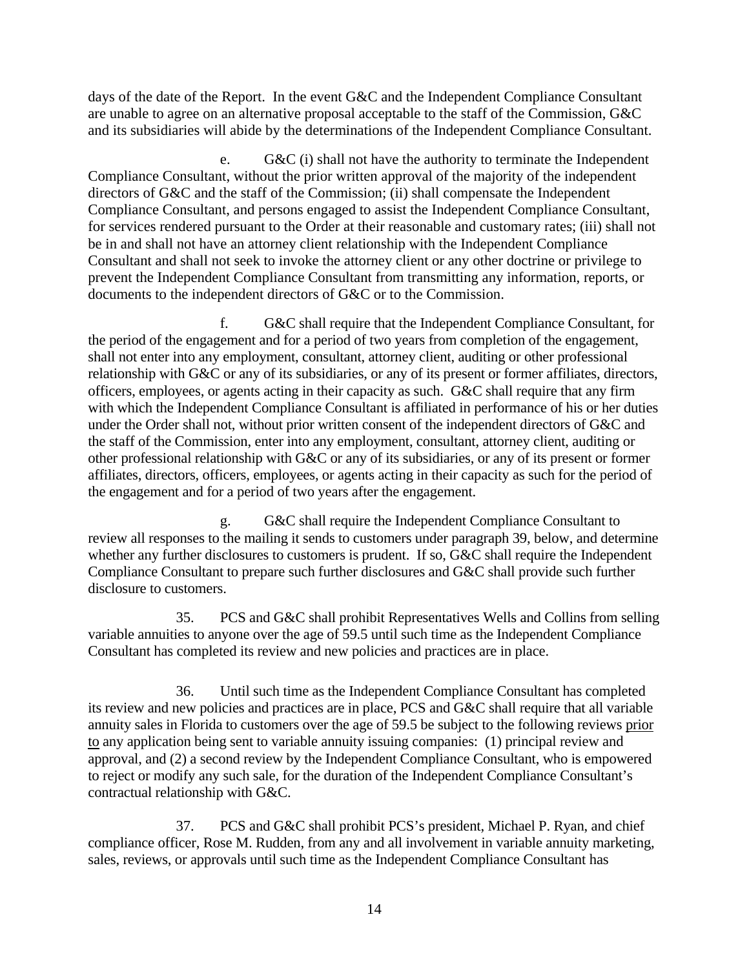days of the date of the Report. In the event G&C and the Independent Compliance Consultant are unable to agree on an alternative proposal acceptable to the staff of the Commission, G&C and its subsidiaries will abide by the determinations of the Independent Compliance Consultant.

e. G&C (i) shall not have the authority to terminate the Independent Compliance Consultant, without the prior written approval of the majority of the independent directors of G&C and the staff of the Commission; (ii) shall compensate the Independent Compliance Consultant, and persons engaged to assist the Independent Compliance Consultant, for services rendered pursuant to the Order at their reasonable and customary rates; (iii) shall not be in and shall not have an attorney client relationship with the Independent Compliance Consultant and shall not seek to invoke the attorney client or any other doctrine or privilege to prevent the Independent Compliance Consultant from transmitting any information, reports, or documents to the independent directors of G&C or to the Commission.

f. G&C shall require that the Independent Compliance Consultant, for the period of the engagement and for a period of two years from completion of the engagement, shall not enter into any employment, consultant, attorney client, auditing or other professional relationship with G&C or any of its subsidiaries, or any of its present or former affiliates, directors, officers, employees, or agents acting in their capacity as such. G&C shall require that any firm with which the Independent Compliance Consultant is affiliated in performance of his or her duties under the Order shall not, without prior written consent of the independent directors of G&C and the staff of the Commission, enter into any employment, consultant, attorney client, auditing or other professional relationship with G&C or any of its subsidiaries, or any of its present or former affiliates, directors, officers, employees, or agents acting in their capacity as such for the period of the engagement and for a period of two years after the engagement.

g. G&C shall require the Independent Compliance Consultant to review all responses to the mailing it sends to customers under paragraph 39, below, and determine whether any further disclosures to customers is prudent. If so, G&C shall require the Independent Compliance Consultant to prepare such further disclosures and G&C shall provide such further disclosure to customers.

35. PCS and G&C shall prohibit Representatives Wells and Collins from selling variable annuities to anyone over the age of 59.5 until such time as the Independent Compliance Consultant has completed its review and new policies and practices are in place.

36. Until such time as the Independent Compliance Consultant has completed its review and new policies and practices are in place, PCS and G&C shall require that all variable annuity sales in Florida to customers over the age of 59.5 be subject to the following reviews prior to any application being sent to variable annuity issuing companies: (1) principal review and approval, and (2) a second review by the Independent Compliance Consultant, who is empowered to reject or modify any such sale, for the duration of the Independent Compliance Consultant's contractual relationship with G&C.

37. PCS and G&C shall prohibit PCS's president, Michael P. Ryan, and chief compliance officer, Rose M. Rudden, from any and all involvement in variable annuity marketing, sales, reviews, or approvals until such time as the Independent Compliance Consultant has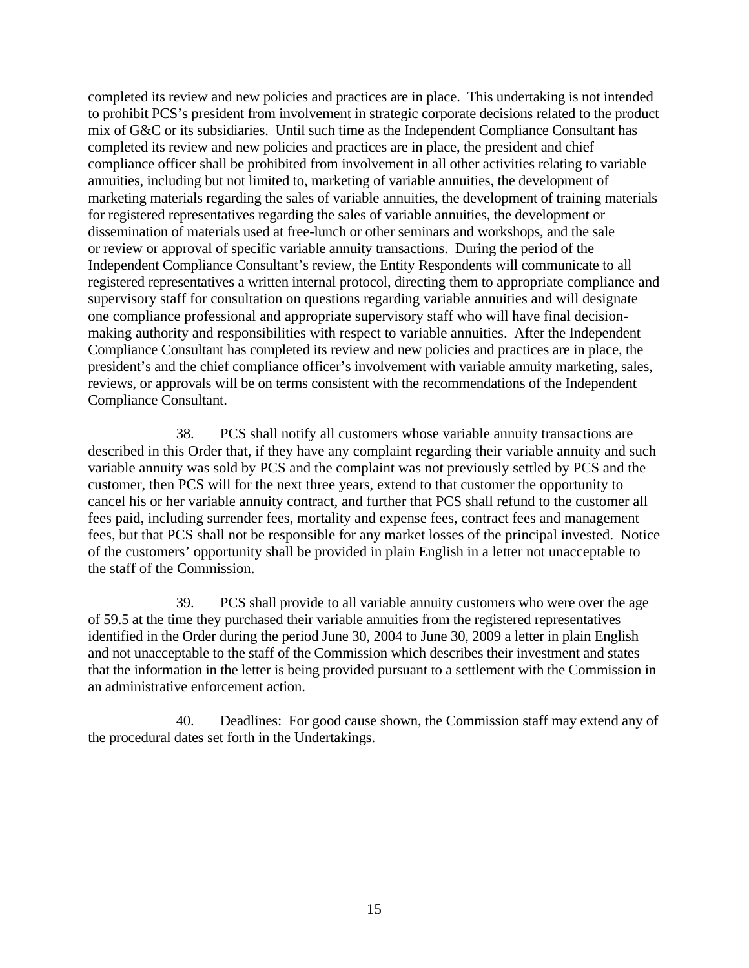completed its review and new policies and practices are in place. This undertaking is not intended to prohibit PCS's president from involvement in strategic corporate decisions related to the product mix of G&C or its subsidiaries. Until such time as the Independent Compliance Consultant has completed its review and new policies and practices are in place, the president and chief compliance officer shall be prohibited from involvement in all other activities relating to variable annuities, including but not limited to, marketing of variable annuities, the development of marketing materials regarding the sales of variable annuities, the development of training materials for registered representatives regarding the sales of variable annuities, the development or dissemination of materials used at free-lunch or other seminars and workshops, and the sale or review or approval of specific variable annuity transactions. During the period of the Independent Compliance Consultant's review, the Entity Respondents will communicate to all registered representatives a written internal protocol, directing them to appropriate compliance and supervisory staff for consultation on questions regarding variable annuities and will designate one compliance professional and appropriate supervisory staff who will have final decisionmaking authority and responsibilities with respect to variable annuities. After the Independent Compliance Consultant has completed its review and new policies and practices are in place, the president's and the chief compliance officer's involvement with variable annuity marketing, sales, reviews, or approvals will be on terms consistent with the recommendations of the Independent Compliance Consultant.

38. PCS shall notify all customers whose variable annuity transactions are described in this Order that, if they have any complaint regarding their variable annuity and such variable annuity was sold by PCS and the complaint was not previously settled by PCS and the customer, then PCS will for the next three years, extend to that customer the opportunity to cancel his or her variable annuity contract, and further that PCS shall refund to the customer all fees paid, including surrender fees, mortality and expense fees, contract fees and management fees, but that PCS shall not be responsible for any market losses of the principal invested. Notice of the customers' opportunity shall be provided in plain English in a letter not unacceptable to the staff of the Commission.

39. PCS shall provide to all variable annuity customers who were over the age of 59.5 at the time they purchased their variable annuities from the registered representatives identified in the Order during the period June 30, 2004 to June 30, 2009 a letter in plain English and not unacceptable to the staff of the Commission which describes their investment and states that the information in the letter is being provided pursuant to a settlement with the Commission in an administrative enforcement action.

40. Deadlines: For good cause shown, the Commission staff may extend any of the procedural dates set forth in the Undertakings.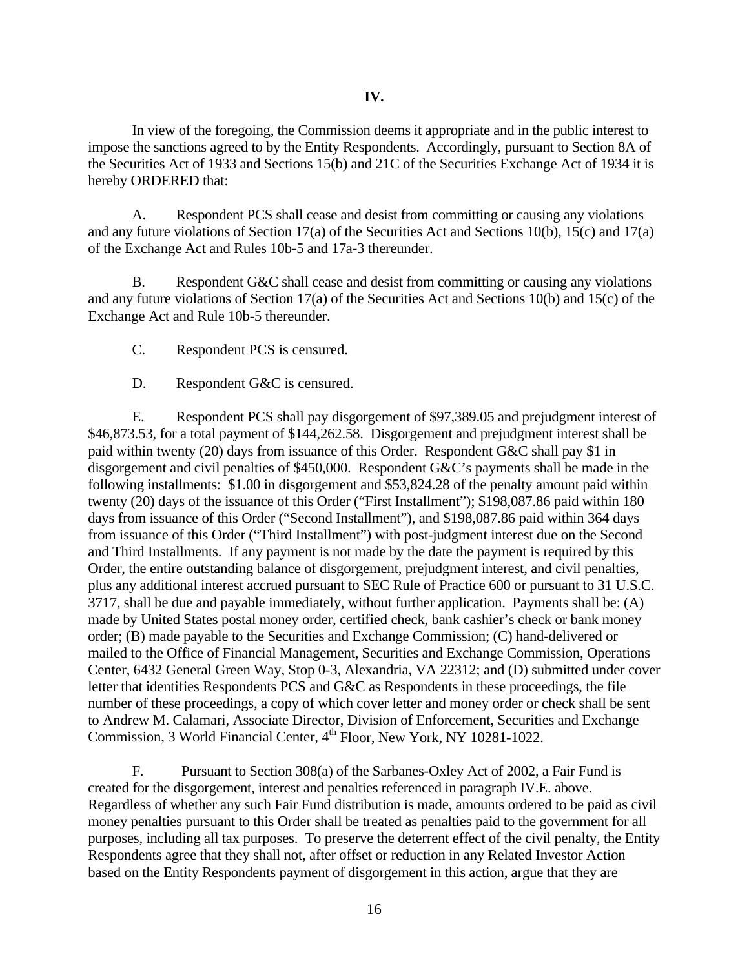In view of the foregoing, the Commission deems it appropriate and in the public interest to impose the sanctions agreed to by the Entity Respondents. Accordingly, pursuant to Section 8A of the Securities Act of 1933 and Sections 15(b) and 21C of the Securities Exchange Act of 1934 it is hereby ORDERED that:

A. Respondent PCS shall cease and desist from committing or causing any violations and any future violations of Section 17(a) of the Securities Act and Sections 10(b), 15(c) and 17(a) of the Exchange Act and Rules 10b-5 and 17a-3 thereunder.

B. Respondent G&C shall cease and desist from committing or causing any violations and any future violations of Section 17(a) of the Securities Act and Sections 10(b) and 15(c) of the Exchange Act and Rule 10b-5 thereunder.

C. Respondent PCS is censured.

D. Respondent G&C is censured.

E. Respondent PCS shall pay disgorgement of \$97,389.05 and prejudgment interest of \$46,873.53, for a total payment of \$144,262.58. Disgorgement and prejudgment interest shall be paid within twenty (20) days from issuance of this Order. Respondent G&C shall pay \$1 in disgorgement and civil penalties of \$450,000. Respondent G&C's payments shall be made in the following installments: \$1.00 in disgorgement and \$53,824.28 of the penalty amount paid within twenty (20) days of the issuance of this Order ("First Installment"); \$198,087.86 paid within 180 days from issuance of this Order ("Second Installment"), and \$198,087.86 paid within 364 days from issuance of this Order ("Third Installment") with post-judgment interest due on the Second and Third Installments. If any payment is not made by the date the payment is required by this Order, the entire outstanding balance of disgorgement, prejudgment interest, and civil penalties, plus any additional interest accrued pursuant to SEC Rule of Practice 600 or pursuant to 31 U.S.C. 3717, shall be due and payable immediately, without further application. Payments shall be: (A) made by United States postal money order, certified check, bank cashier's check or bank money order; (B) made payable to the Securities and Exchange Commission; (C) hand-delivered or mailed to the Office of Financial Management, Securities and Exchange Commission, Operations Center, 6432 General Green Way, Stop 0-3, Alexandria, VA 22312; and (D) submitted under cover letter that identifies Respondents PCS and G&C as Respondents in these proceedings, the file number of these proceedings, a copy of which cover letter and money order or check shall be sent to Andrew M. Calamari, Associate Director, Division of Enforcement, Securities and Exchange Commission, 3 World Financial Center, 4th Floor, New York, NY 10281-1022.

F. Pursuant to Section 308(a) of the Sarbanes-Oxley Act of 2002, a Fair Fund is created for the disgorgement, interest and penalties referenced in paragraph IV.E. above. Regardless of whether any such Fair Fund distribution is made, amounts ordered to be paid as civil money penalties pursuant to this Order shall be treated as penalties paid to the government for all purposes, including all tax purposes. To preserve the deterrent effect of the civil penalty, the Entity Respondents agree that they shall not, after offset or reduction in any Related Investor Action based on the Entity Respondents payment of disgorgement in this action, argue that they are